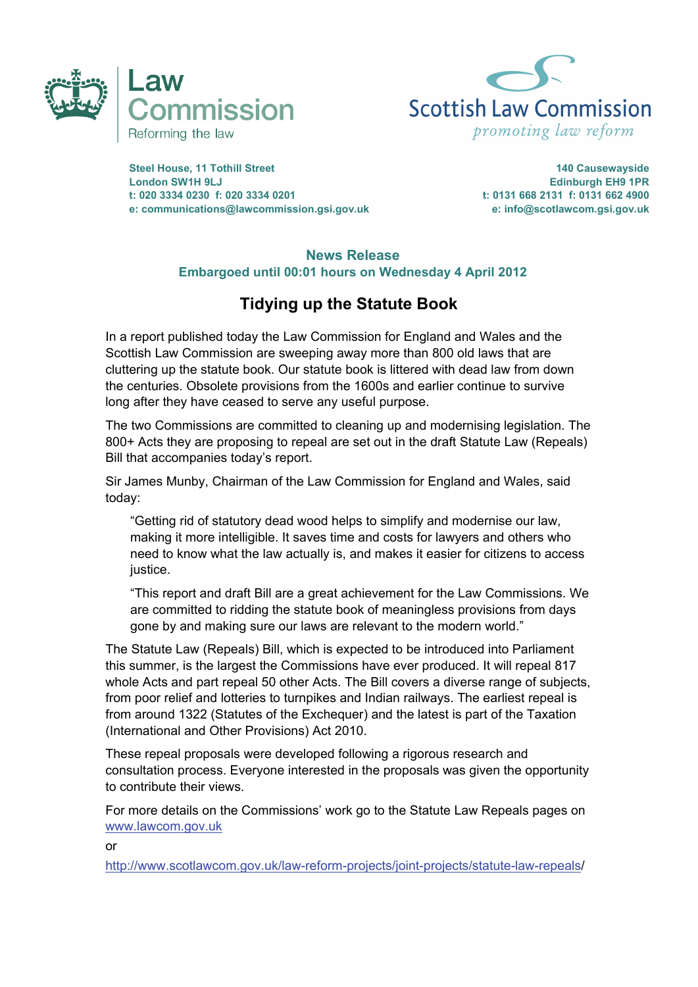



**Steel House, 11 Tothill Street 140 Causewayside London SW1H 9LJ Edinburgh EH9 1PR t: 020 3334 0230 f: 020 3334 0201 t: 0131 668 2131 f: 0131 662 4900 e: communications@lawcommission.gsi.gov.uk e: info@scotlawcom.gsi.gov.uk** 

## **News Release Embargoed until 00:01 hours on Wednesday 4 April 2012**

## **Tidying up the Statute Book**

In a report published today the Law Commission for England and Wales and the Scottish Law Commission are sweeping away more than 800 old laws that are cluttering up the statute book. Our statute book is littered with dead law from down the centuries. Obsolete provisions from the 1600s and earlier continue to survive long after they have ceased to serve any useful purpose.

The two Commissions are committed to cleaning up and modernising legislation. The 800+ Acts they are proposing to repeal are set out in the draft Statute Law (Repeals) Bill that accompanies today's report.

Sir James Munby, Chairman of the Law Commission for England and Wales, said today:

"Getting rid of statutory dead wood helps to simplify and modernise our law, making it more intelligible. It saves time and costs for lawyers and others who need to know what the law actually is, and makes it easier for citizens to access justice.

"This report and draft Bill are a great achievement for the Law Commissions. We are committed to ridding the statute book of meaningless provisions from days gone by and making sure our laws are relevant to the modern world."

The Statute Law (Repeals) Bill, which is expected to be introduced into Parliament this summer, is the largest the Commissions have ever produced. It will repeal 817 whole Acts and part repeal 50 other Acts. The Bill covers a diverse range of subjects, from poor relief and lotteries to turnpikes and Indian railways. The earliest repeal is from around 1322 (Statutes of the Exchequer) and the latest is part of the Taxation (International and Other Provisions) Act 2010.

These repeal proposals were developed following a rigorous research and consultation process. Everyone interested in the proposals was given the opportunity to contribute their views.

For more details on the Commissions' work go to the Statute Law Repeals pages on www.lawcom.gov.uk

or

http://www.scotlawcom.gov.uk/law-reform-projects/joint-projects/statute-law-repeals/